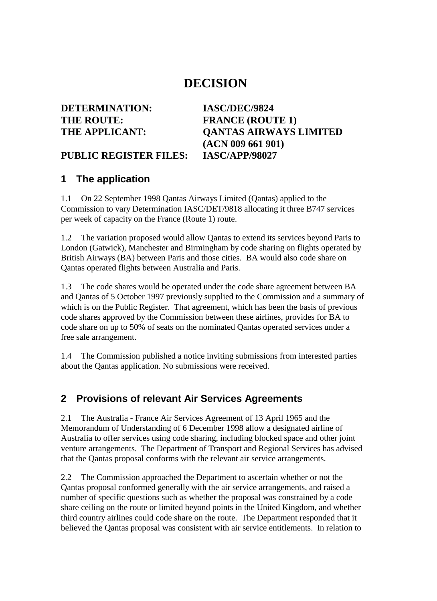## **DECISION**

## **DETERMINATION: IASC/DEC/9824** THE ROUTE: **FRANCE** (ROUTE 1)

# **THE APPLICANT: QANTAS AIRWAYS LIMITED (ACN 009 661 901)**

#### **PUBLIC REGISTER FILES: IASC/APP/98027**

#### **1 The application**

1.1 On 22 September 1998 Qantas Airways Limited (Qantas) applied to the Commission to vary Determination IASC/DET/9818 allocating it three B747 services per week of capacity on the France (Route 1) route.

1.2 The variation proposed would allow Qantas to extend its services beyond Paris to London (Gatwick), Manchester and Birmingham by code sharing on flights operated by British Airways (BA) between Paris and those cities. BA would also code share on Qantas operated flights between Australia and Paris.

1.3 The code shares would be operated under the code share agreement between BA and Qantas of 5 October 1997 previously supplied to the Commission and a summary of which is on the Public Register. That agreement, which has been the basis of previous code shares approved by the Commission between these airlines, provides for BA to code share on up to 50% of seats on the nominated Qantas operated services under a free sale arrangement.

1.4 The Commission published a notice inviting submissions from interested parties about the Qantas application. No submissions were received.

#### **2 Provisions of relevant Air Services Agreements**

2.1 The Australia - France Air Services Agreement of 13 April 1965 and the Memorandum of Understanding of 6 December 1998 allow a designated airline of Australia to offer services using code sharing, including blocked space and other joint venture arrangements. The Department of Transport and Regional Services has advised that the Qantas proposal conforms with the relevant air service arrangements.

2.2 The Commission approached the Department to ascertain whether or not the Qantas proposal conformed generally with the air service arrangements, and raised a number of specific questions such as whether the proposal was constrained by a code share ceiling on the route or limited beyond points in the United Kingdom, and whether third country airlines could code share on the route. The Department responded that it believed the Qantas proposal was consistent with air service entitlements. In relation to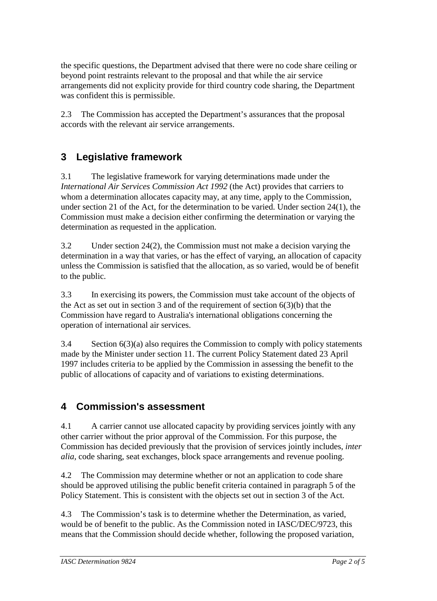the specific questions, the Department advised that there were no code share ceiling or beyond point restraints relevant to the proposal and that while the air service arrangements did not explicity provide for third country code sharing, the Department was confident this is permissible.

2.3 The Commission has accepted the Department's assurances that the proposal accords with the relevant air service arrangements.

## **3 Legislative framework**

3.1 The legislative framework for varying determinations made under the *International Air Services Commission Act 1992* (the Act) provides that carriers to whom a determination allocates capacity may, at any time, apply to the Commission, under section 21 of the Act, for the determination to be varied. Under section 24(1), the Commission must make a decision either confirming the determination or varying the determination as requested in the application.

3.2 Under section 24(2), the Commission must not make a decision varying the determination in a way that varies, or has the effect of varying, an allocation of capacity unless the Commission is satisfied that the allocation, as so varied, would be of benefit to the public.

3.3 In exercising its powers, the Commission must take account of the objects of the Act as set out in section 3 and of the requirement of section  $6(3)(b)$  that the Commission have regard to Australia's international obligations concerning the operation of international air services.

3.4 Section 6(3)(a) also requires the Commission to comply with policy statements made by the Minister under section 11. The current Policy Statement dated 23 April 1997 includes criteria to be applied by the Commission in assessing the benefit to the public of allocations of capacity and of variations to existing determinations.

### **4 Commission's assessment**

4.1 A carrier cannot use allocated capacity by providing services jointly with any other carrier without the prior approval of the Commission. For this purpose, the Commission has decided previously that the provision of services jointly includes, *inter alia,* code sharing, seat exchanges, block space arrangements and revenue pooling.

4.2 The Commission may determine whether or not an application to code share should be approved utilising the public benefit criteria contained in paragraph 5 of the Policy Statement. This is consistent with the objects set out in section 3 of the Act.

4.3 The Commission's task is to determine whether the Determination, as varied, would be of benefit to the public. As the Commission noted in IASC/DEC/9723, this means that the Commission should decide whether, following the proposed variation,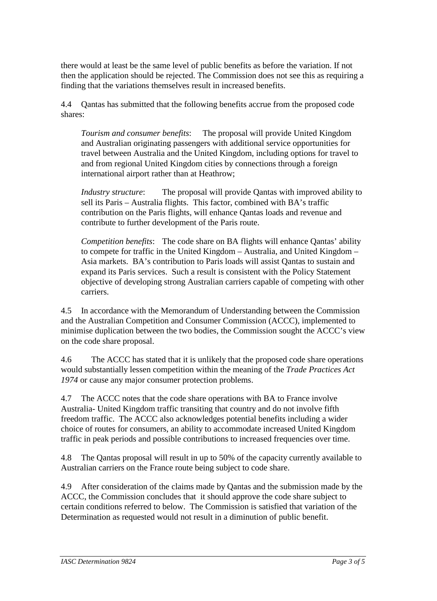there would at least be the same level of public benefits as before the variation. If not then the application should be rejected. The Commission does not see this as requiring a finding that the variations themselves result in increased benefits.

4.4 Qantas has submitted that the following benefits accrue from the proposed code shares:

*Tourism and consumer benefits*: The proposal will provide United Kingdom and Australian originating passengers with additional service opportunities for travel between Australia and the United Kingdom, including options for travel to and from regional United Kingdom cities by connections through a foreign international airport rather than at Heathrow;

*Industry structure*: The proposal will provide Qantas with improved ability to sell its Paris – Australia flights. This factor, combined with BA's traffic contribution on the Paris flights, will enhance Qantas loads and revenue and contribute to further development of the Paris route.

*Competition benefits*: The code share on BA flights will enhance Qantas' ability to compete for traffic in the United Kingdom – Australia, and United Kingdom – Asia markets. BA's contribution to Paris loads will assist Qantas to sustain and expand its Paris services. Such a result is consistent with the Policy Statement objective of developing strong Australian carriers capable of competing with other carriers.

4.5 In accordance with the Memorandum of Understanding between the Commission and the Australian Competition and Consumer Commission (ACCC), implemented to minimise duplication between the two bodies, the Commission sought the ACCC's view on the code share proposal.

4.6 The ACCC has stated that it is unlikely that the proposed code share operations would substantially lessen competition within the meaning of the *Trade Practices Act 1974* or cause any major consumer protection problems.

4.7 The ACCC notes that the code share operations with BA to France involve Australia- United Kingdom traffic transiting that country and do not involve fifth freedom traffic. The ACCC also acknowledges potential benefits including a wider choice of routes for consumers, an ability to accommodate increased United Kingdom traffic in peak periods and possible contributions to increased frequencies over time.

4.8 The Qantas proposal will result in up to 50% of the capacity currently available to Australian carriers on the France route being subject to code share.

4.9 After consideration of the claims made by Qantas and the submission made by the ACCC, the Commission concludes that it should approve the code share subject to certain conditions referred to below. The Commission is satisfied that variation of the Determination as requested would not result in a diminution of public benefit.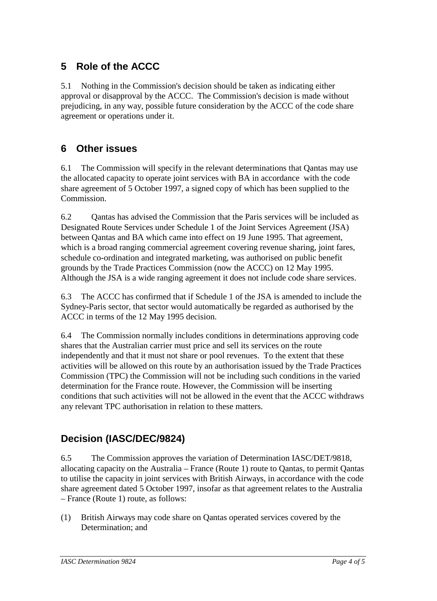## **5 Role of the ACCC**

5.1 Nothing in the Commission's decision should be taken as indicating either approval or disapproval by the ACCC. The Commission's decision is made without prejudicing, in any way, possible future consideration by the ACCC of the code share agreement or operations under it.

#### **6 Other issues**

6.1 The Commission will specify in the relevant determinations that Qantas may use the allocated capacity to operate joint services with BA in accordance with the code share agreement of 5 October 1997, a signed copy of which has been supplied to the Commission.

6.2 Qantas has advised the Commission that the Paris services will be included as Designated Route Services under Schedule 1 of the Joint Services Agreement (JSA) between Qantas and BA which came into effect on 19 June 1995. That agreement, which is a broad ranging commercial agreement covering revenue sharing, joint fares, schedule co-ordination and integrated marketing, was authorised on public benefit grounds by the Trade Practices Commission (now the ACCC) on 12 May 1995. Although the JSA is a wide ranging agreement it does not include code share services.

6.3 The ACCC has confirmed that if Schedule 1 of the JSA is amended to include the Sydney-Paris sector, that sector would automatically be regarded as authorised by the ACCC in terms of the 12 May 1995 decision.

6.4 The Commission normally includes conditions in determinations approving code shares that the Australian carrier must price and sell its services on the route independently and that it must not share or pool revenues. To the extent that these activities will be allowed on this route by an authorisation issued by the Trade Practices Commission (TPC) the Commission will not be including such conditions in the varied determination for the France route. However, the Commission will be inserting conditions that such activities will not be allowed in the event that the ACCC withdraws any relevant TPC authorisation in relation to these matters.

### **Decision (IASC/DEC/9824)**

6.5 The Commission approves the variation of Determination IASC/DET/9818, allocating capacity on the Australia – France (Route 1) route to Qantas, to permit Qantas to utilise the capacity in joint services with British Airways, in accordance with the code share agreement dated 5 October 1997, insofar as that agreement relates to the Australia – France (Route 1) route, as follows:

(1) British Airways may code share on Qantas operated services covered by the Determination; and